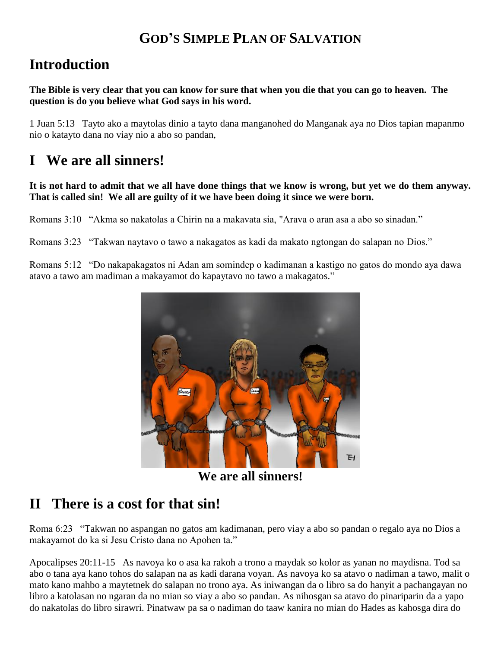#### **GOD'S SIMPLE PLAN OF SALVATION**

### **Introduction**

**The Bible is very clear that you can know for sure that when you die that you can go to heaven. The question is do you believe what God says in his word.**

1 Juan 5:13 Tayto ako a maytolas dinio a tayto dana manganohed do Manganak aya no Dios tapian mapanmo nio o katayto dana no viay nio a abo so pandan,

# **I We are all sinners!**

#### **It is not hard to admit that we all have done things that we know is wrong, but yet we do them anyway. That is called sin! We all are guilty of it we have been doing it since we were born.**

Romans 3:10 "Akma so nakatolas a Chirin na a makavata sia, "Arava o aran asa a abo so sinadan."

Romans 3:23 "Takwan naytavo o tawo a nakagatos as kadi da makato ngtongan do salapan no Dios."

Romans 5:12 "Do nakapakagatos ni Adan am somindep o kadimanan a kastigo no gatos do mondo aya dawa atavo a tawo am madiman a makayamot do kapaytavo no tawo a makagatos."



**We are all sinners!**

# **II There is a cost for that sin!**

Roma 6:23 "Takwan no aspangan no gatos am kadimanan, pero viay a abo so pandan o regalo aya no Dios a makayamot do ka si Jesu Cristo dana no Apohen ta."

Apocalipses 20:11-15 As navoya ko o asa ka rakoh a trono a maydak so kolor as yanan no maydisna. Tod sa abo o tana aya kano tohos do salapan na as kadi darana voyan. As navoya ko sa atavo o nadiman a tawo, malit o mato kano mahbo a maytetnek do salapan no trono aya. As iniwangan da o libro sa do hanyit a pachangayan no libro a katolasan no ngaran da no mian so viay a abo so pandan. As nihosgan sa atavo do pinariparin da a yapo do nakatolas do libro sirawri. Pinatwaw pa sa o nadiman do taaw kanira no mian do Hades as kahosga dira do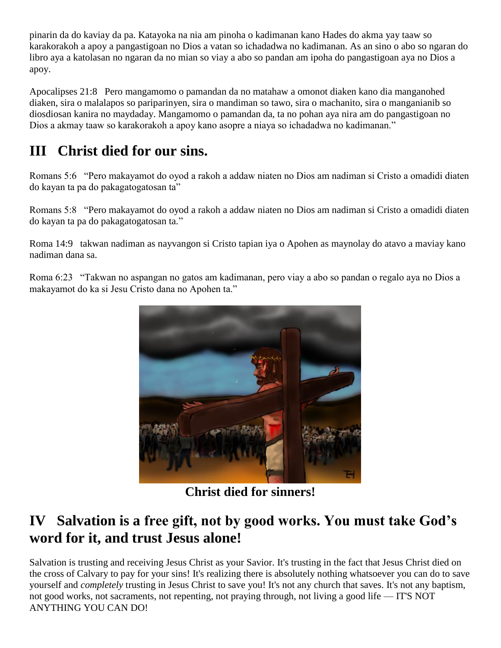pinarin da do kaviay da pa. Katayoka na nia am pinoha o kadimanan kano Hades do akma yay taaw so karakorakoh a apoy a pangastigoan no Dios a vatan so ichadadwa no kadimanan. As an sino o abo so ngaran do libro aya a katolasan no ngaran da no mian so viay a abo so pandan am ipoha do pangastigoan aya no Dios a apoy.

Apocalipses 21:8 Pero mangamomo o pamandan da no matahaw a omonot diaken kano dia manganohed diaken, sira o malalapos so pariparinyen, sira o mandiman so tawo, sira o machanito, sira o manganianib so diosdiosan kanira no maydaday. Mangamomo o pamandan da, ta no pohan aya nira am do pangastigoan no Dios a akmay taaw so karakorakoh a apoy kano asopre a niaya so ichadadwa no kadimanan."

# **III Christ died for our sins.**

Romans 5:6 "Pero makayamot do oyod a rakoh a addaw niaten no Dios am nadiman si Cristo a omadidi diaten do kayan ta pa do pakagatogatosan ta"

Romans 5:8 "Pero makayamot do oyod a rakoh a addaw niaten no Dios am nadiman si Cristo a omadidi diaten do kayan ta pa do pakagatogatosan ta."

Roma 14:9 takwan nadiman as nayvangon si Cristo tapian iya o Apohen as maynolay do atavo a maviay kano nadiman dana sa.

Roma 6:23 "Takwan no aspangan no gatos am kadimanan, pero viay a abo so pandan o regalo aya no Dios a makayamot do ka si Jesu Cristo dana no Apohen ta."



**Christ died for sinners!**

#### **IV Salvation is a free gift, not by good works. You must take God's word for it, and trust Jesus alone!**

Salvation is trusting and receiving Jesus Christ as your Savior. It's trusting in the fact that Jesus Christ died on the cross of Calvary to pay for your sins! It's realizing there is absolutely nothing whatsoever you can do to save yourself and *completely* trusting in Jesus Christ to save you! It's not any church that saves. It's not any baptism, not good works, not sacraments, not repenting, not praying through, not living a good life — IT'S NOT ANYTHING YOU CAN DO!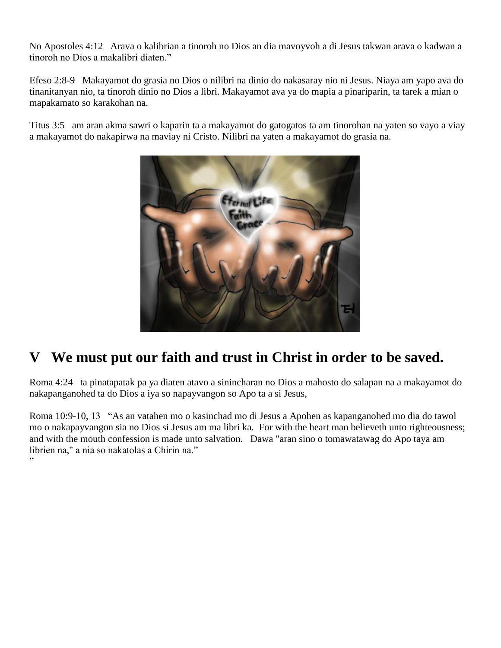No Apostoles 4:12 Arava o kalibrian a tinoroh no Dios an dia mavoyvoh a di Jesus takwan arava o kadwan a tinoroh no Dios a makalibri diaten."

Efeso 2:8-9 Makayamot do grasia no Dios o nilibri na dinio do nakasaray nio ni Jesus. Niaya am yapo ava do tinanitanyan nio, ta tinoroh dinio no Dios a libri. Makayamot ava ya do mapia a pinariparin, ta tarek a mian o mapakamato so karakohan na.

Titus 3:5 am aran akma sawri o kaparin ta a makayamot do gatogatos ta am tinorohan na yaten so vayo a viay a makayamot do nakapirwa na maviay ni Cristo. Nilibri na yaten a makayamot do grasia na.



# **V We must put our faith and trust in Christ in order to be saved.**

Roma 4:24 ta pinatapatak pa ya diaten atavo a sinincharan no Dios a mahosto do salapan na a makayamot do nakapanganohed ta do Dios a iya so napayvangon so Apo ta a si Jesus,

Roma 10:9-10, 13 "As an vatahen mo o kasinchad mo di Jesus a Apohen as kapanganohed mo dia do tawol mo o nakapayvangon sia no Dios si Jesus am ma libri ka. For with the heart man believeth unto righteousness; and with the mouth confession is made unto salvation. Dawa "aran sino o tomawatawag do Apo taya am librien na," a nia so nakatolas a Chirin na." "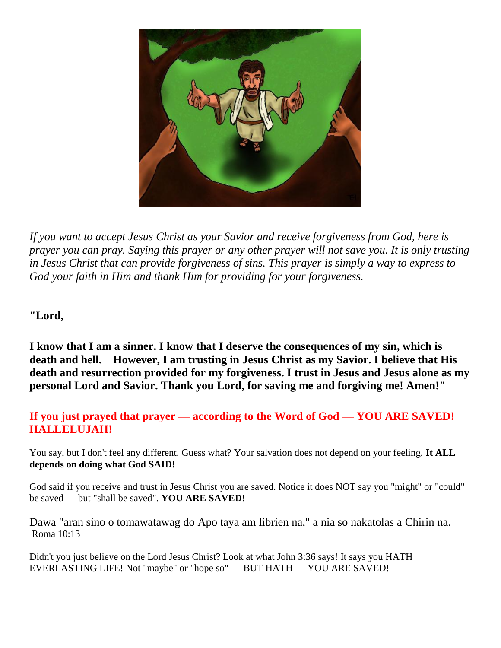

*If you want to accept Jesus Christ as your Savior and receive forgiveness from God, here is prayer you can pray. Saying this prayer or any other prayer will not save you. It is only trusting in Jesus Christ that can provide forgiveness of sins. This prayer is simply a way to express to God your faith in Him and thank Him for providing for your forgiveness.* 

**"Lord,** 

**I know that I am a sinner. I know that I deserve the consequences of my sin, which is death and hell. However, I am trusting in Jesus Christ as my Savior. I believe that His death and resurrection provided for my forgiveness. I trust in Jesus and Jesus alone as my personal Lord and Savior. Thank you Lord, for saving me and forgiving me! Amen!"**

#### **If you just prayed that prayer — according to the Word of God — YOU ARE SAVED! HALLELUJAH!**

You say, but I don't feel any different. Guess what? Your salvation does not depend on your feeling. **It ALL depends on doing what God SAID!**

God said if you receive and trust in Jesus Christ you are saved. Notice it does NOT say you "might" or "could" be saved — but "shall be saved". **YOU ARE SAVED!**

Dawa "aran sino o tomawatawag do Apo taya am librien na," a nia so nakatolas a Chirin na. Roma 10:13

Didn't you just believe on the Lord Jesus Christ? Look at what John 3:36 says! It says you HATH EVERLASTING LIFE! Not "maybe" or "hope so" — BUT HATH — YOU ARE SAVED!